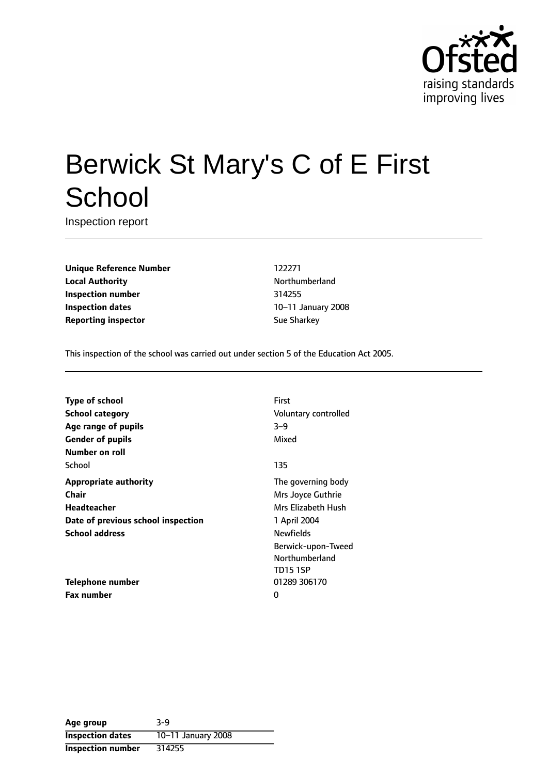

# Berwick St Mary's C of E First **School**

Inspection report

**Unique Reference Number** 122271 **Local Authority Northumberland Inspection number** 314255 **Inspection dates** 10-11 January 2008 **Reporting inspector** Sue Sharkey

This inspection of the school was carried out under section 5 of the Education Act 2005.

**Type of school** First **School category CONSIDER SCHOOL CATEGORY** Voluntary controlled **Age** range of pupils 3-9 **Gender of pupils** Mixed **Number on roll** School and the second second second second second second second second second second second second second second second second second second second second second second second second second second second second second seco **Appropriate authority** The governing body **Chair** Mrs Joyce Guthrie **Headteacher** Mrs Elizabeth Hush **Date of previous school inspection** 1 April 2004 **School address** Newfields

**Telephone number** 01289 306170 **Fax number** 0

Berwick-upon-Tweed Northumberland TD15 1SP

| Age group                | $3-9$              |
|--------------------------|--------------------|
| <b>Inspection dates</b>  | 10-11 January 2008 |
| <b>Inspection number</b> | 314255             |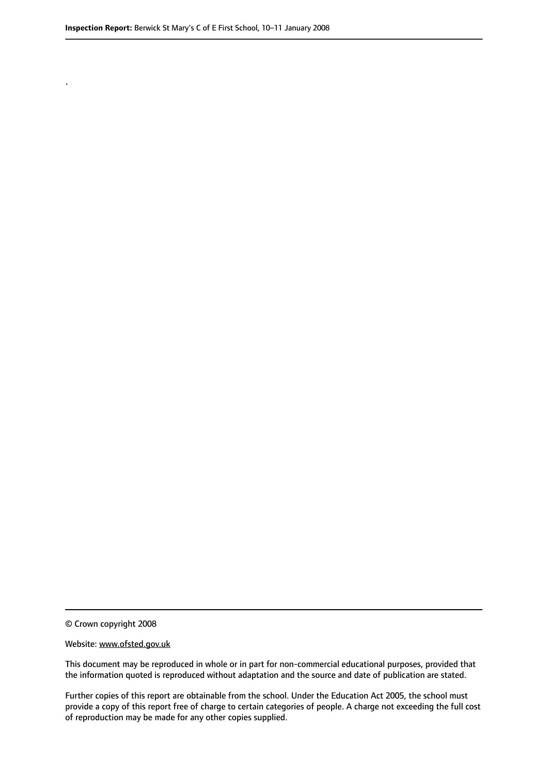.

© Crown copyright 2008

#### Website: www.ofsted.gov.uk

This document may be reproduced in whole or in part for non-commercial educational purposes, provided that the information quoted is reproduced without adaptation and the source and date of publication are stated.

Further copies of this report are obtainable from the school. Under the Education Act 2005, the school must provide a copy of this report free of charge to certain categories of people. A charge not exceeding the full cost of reproduction may be made for any other copies supplied.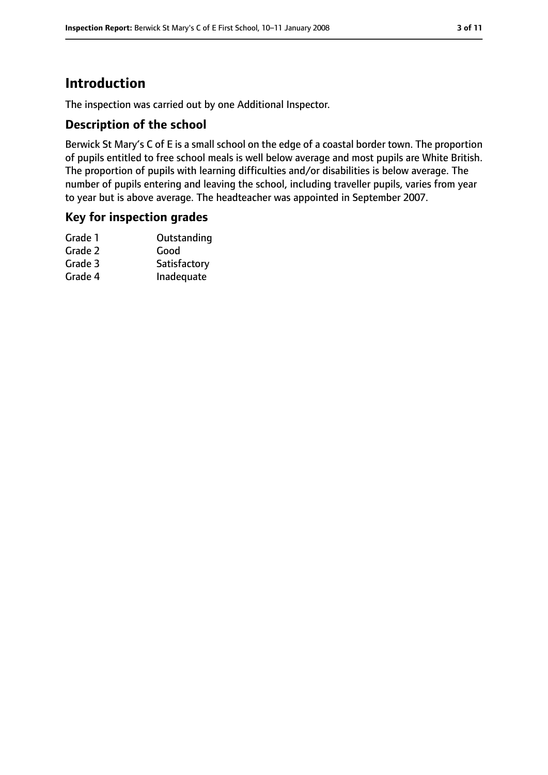# **Introduction**

The inspection was carried out by one Additional Inspector.

## **Description of the school**

Berwick St Mary's C of E is a small school on the edge of a coastal border town. The proportion of pupils entitled to free school meals is well below average and most pupils are White British. The proportion of pupils with learning difficulties and/or disabilities is below average. The number of pupils entering and leaving the school, including traveller pupils, varies from year to year but is above average. The headteacher was appointed in September 2007.

## **Key for inspection grades**

| Outstanding  |
|--------------|
| Good         |
| Satisfactory |
| Inadequate   |
|              |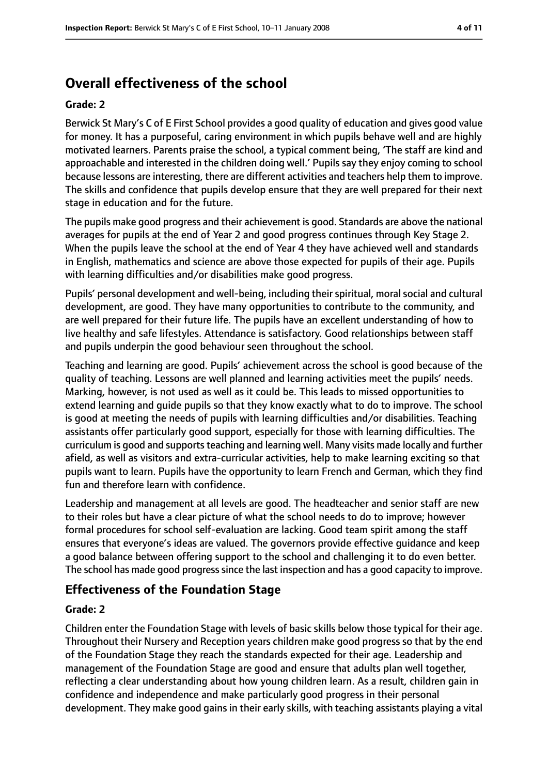# **Overall effectiveness of the school**

#### **Grade: 2**

Berwick St Mary's C of E First School provides a good quality of education and gives good value for money. It has a purposeful, caring environment in which pupils behave well and are highly motivated learners. Parents praise the school, a typical comment being, 'The staff are kind and approachable and interested in the children doing well.' Pupils say they enjoy coming to school because lessons are interesting, there are different activities and teachers help them to improve. The skills and confidence that pupils develop ensure that they are well prepared for their next stage in education and for the future.

The pupils make good progress and their achievement is good. Standards are above the national averages for pupils at the end of Year 2 and good progress continues through Key Stage 2. When the pupils leave the school at the end of Year 4 they have achieved well and standards in English, mathematics and science are above those expected for pupils of their age. Pupils with learning difficulties and/or disabilities make good progress.

Pupils' personal development and well-being, including their spiritual, moral social and cultural development, are good. They have many opportunities to contribute to the community, and are well prepared for their future life. The pupils have an excellent understanding of how to live healthy and safe lifestyles. Attendance is satisfactory. Good relationships between staff and pupils underpin the good behaviour seen throughout the school.

Teaching and learning are good. Pupils' achievement across the school is good because of the quality of teaching. Lessons are well planned and learning activities meet the pupils' needs. Marking, however, is not used as well as it could be. This leads to missed opportunities to extend learning and guide pupils so that they know exactly what to do to improve. The school is good at meeting the needs of pupils with learning difficulties and/or disabilities. Teaching assistants offer particularly good support, especially for those with learning difficulties. The curriculum is good and supports teaching and learning well. Many visits made locally and further afield, as well as visitors and extra-curricular activities, help to make learning exciting so that pupils want to learn. Pupils have the opportunity to learn French and German, which they find fun and therefore learn with confidence.

Leadership and management at all levels are good. The headteacher and senior staff are new to their roles but have a clear picture of what the school needs to do to improve; however formal procedures for school self-evaluation are lacking. Good team spirit among the staff ensures that everyone's ideas are valued. The governors provide effective guidance and keep a good balance between offering support to the school and challenging it to do even better. The school has made good progresssince the last inspection and has a good capacity to improve.

### **Effectiveness of the Foundation Stage**

#### **Grade: 2**

Children enter the Foundation Stage with levels of basic skills below those typical for their age. Throughout their Nursery and Reception years children make good progress so that by the end of the Foundation Stage they reach the standards expected for their age. Leadership and management of the Foundation Stage are good and ensure that adults plan well together, reflecting a clear understanding about how young children learn. As a result, children gain in confidence and independence and make particularly good progress in their personal development. They make good gains in their early skills, with teaching assistants playing a vital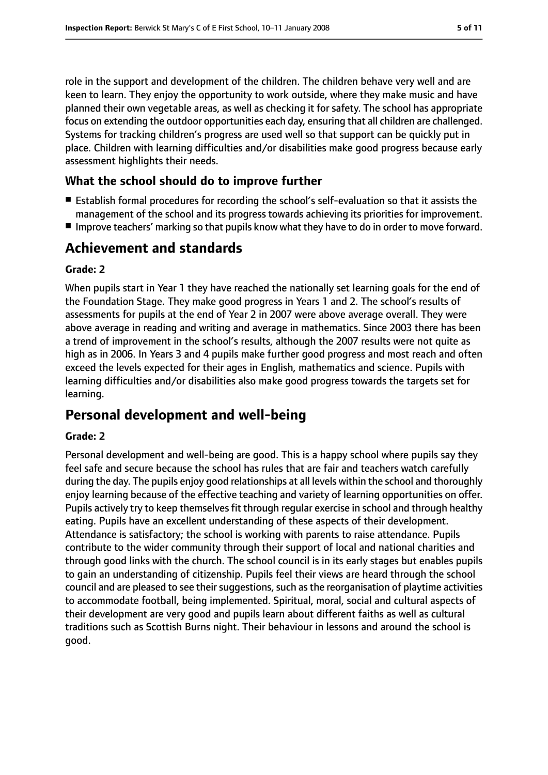role in the support and development of the children. The children behave very well and are keen to learn. They enjoy the opportunity to work outside, where they make music and have planned their own vegetable areas, as well as checking it for safety. The school has appropriate focus on extending the outdoor opportunities each day, ensuring that all children are challenged. Systems for tracking children's progress are used well so that support can be quickly put in place. Children with learning difficulties and/or disabilities make good progress because early assessment highlights their needs.

# **What the school should do to improve further**

- Establish formal procedures for recording the school's self-evaluation so that it assists the management of the school and its progress towards achieving its priorities for improvement.
- Improve teachers' marking so that pupils know what they have to do in order to move forward.

# **Achievement and standards**

#### **Grade: 2**

When pupils start in Year 1 they have reached the nationally set learning goals for the end of the Foundation Stage. They make good progress in Years 1 and 2. The school's results of assessments for pupils at the end of Year 2 in 2007 were above average overall. They were above average in reading and writing and average in mathematics. Since 2003 there has been a trend of improvement in the school's results, although the 2007 results were not quite as high as in 2006. In Years 3 and 4 pupils make further good progress and most reach and often exceed the levels expected for their ages in English, mathematics and science. Pupils with learning difficulties and/or disabilities also make good progress towards the targets set for learning.

# **Personal development and well-being**

### **Grade: 2**

Personal development and well-being are good. This is a happy school where pupils say they feel safe and secure because the school has rules that are fair and teachers watch carefully during the day. The pupils enjoy good relationships at all levels within the school and thoroughly enjoy learning because of the effective teaching and variety of learning opportunities on offer. Pupils actively try to keep themselves fit through regular exercise in school and through healthy eating. Pupils have an excellent understanding of these aspects of their development. Attendance is satisfactory; the school is working with parents to raise attendance. Pupils contribute to the wider community through their support of local and national charities and through good links with the church. The school council is in its early stages but enables pupils to gain an understanding of citizenship. Pupils feel their views are heard through the school council and are pleased to see their suggestions, such as the reorganisation of playtime activities to accommodate football, being implemented. Spiritual, moral, social and cultural aspects of their development are very good and pupils learn about different faiths as well as cultural traditions such as Scottish Burns night. Their behaviour in lessons and around the school is good.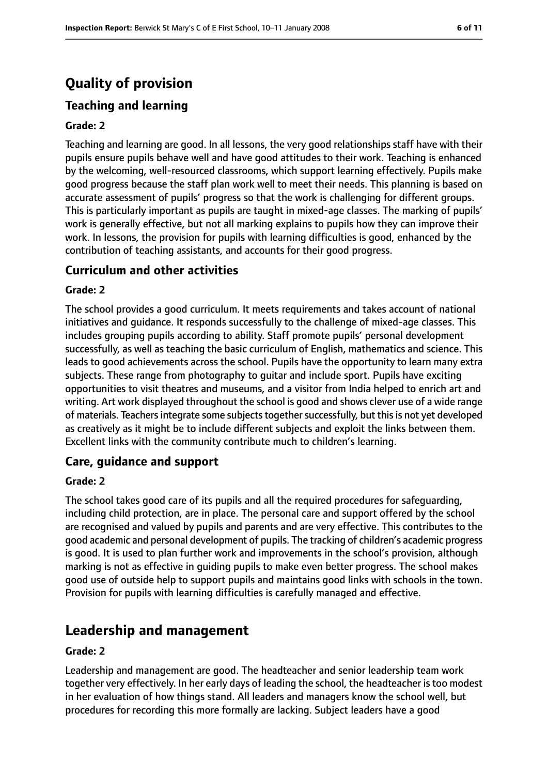# **Quality of provision**

# **Teaching and learning**

#### **Grade: 2**

Teaching and learning are good. In all lessons, the very good relationships staff have with their pupils ensure pupils behave well and have good attitudes to their work. Teaching is enhanced by the welcoming, well-resourced classrooms, which support learning effectively. Pupils make good progress because the staff plan work well to meet their needs. This planning is based on accurate assessment of pupils' progress so that the work is challenging for different groups. This is particularly important as pupils are taught in mixed-age classes. The marking of pupils' work is generally effective, but not all marking explains to pupils how they can improve their work. In lessons, the provision for pupils with learning difficulties is good, enhanced by the contribution of teaching assistants, and accounts for their good progress.

### **Curriculum and other activities**

#### **Grade: 2**

The school provides a good curriculum. It meets requirements and takes account of national initiatives and guidance. It responds successfully to the challenge of mixed-age classes. This includes grouping pupils according to ability. Staff promote pupils' personal development successfully, as well as teaching the basic curriculum of English, mathematics and science. This leads to good achievements across the school. Pupils have the opportunity to learn many extra subjects. These range from photography to guitar and include sport. Pupils have exciting opportunities to visit theatres and museums, and a visitor from India helped to enrich art and writing. Art work displayed throughout the school is good and shows clever use of a wide range of materials. Teachers integrate some subjects together successfully, but this is not yet developed as creatively as it might be to include different subjects and exploit the links between them. Excellent links with the community contribute much to children's learning.

### **Care, guidance and support**

#### **Grade: 2**

The school takes good care of its pupils and all the required procedures for safeguarding, including child protection, are in place. The personal care and support offered by the school are recognised and valued by pupils and parents and are very effective. This contributes to the good academic and personal development of pupils. The tracking of children's academic progress is good. It is used to plan further work and improvements in the school's provision, although marking is not as effective in guiding pupils to make even better progress. The school makes good use of outside help to support pupils and maintains good links with schools in the town. Provision for pupils with learning difficulties is carefully managed and effective.

## **Leadership and management**

#### **Grade: 2**

Leadership and management are good. The headteacher and senior leadership team work together very effectively. In her early days of leading the school, the headteacher is too modest in her evaluation of how things stand. All leaders and managers know the school well, but procedures for recording this more formally are lacking. Subject leaders have a good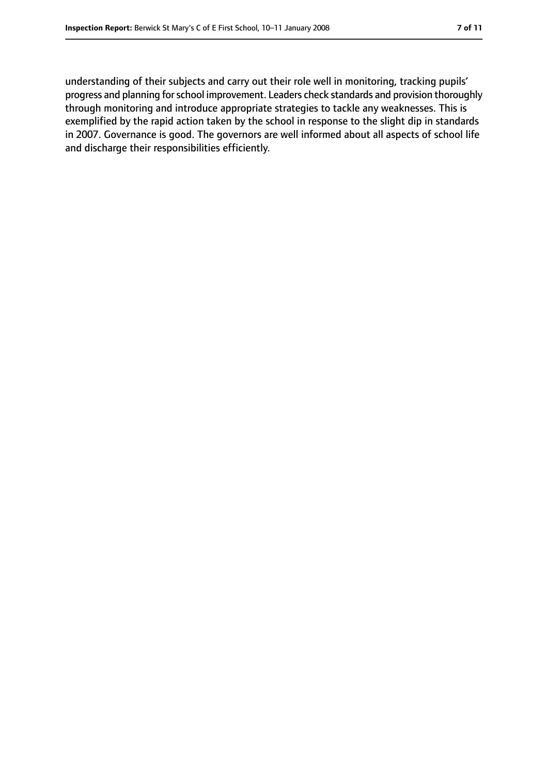understanding of their subjects and carry out their role well in monitoring, tracking pupils' progress and planning for school improvement. Leaders check standards and provision thoroughly through monitoring and introduce appropriate strategies to tackle any weaknesses. This is exemplified by the rapid action taken by the school in response to the slight dip in standards in 2007. Governance is good. The governors are well informed about all aspects of school life and discharge their responsibilities efficiently.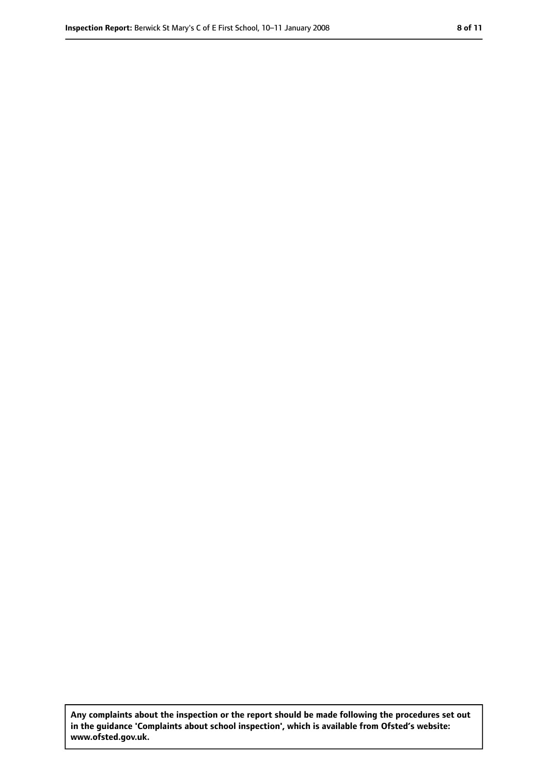**Any complaints about the inspection or the report should be made following the procedures set out in the guidance 'Complaints about school inspection', which is available from Ofsted's website: www.ofsted.gov.uk.**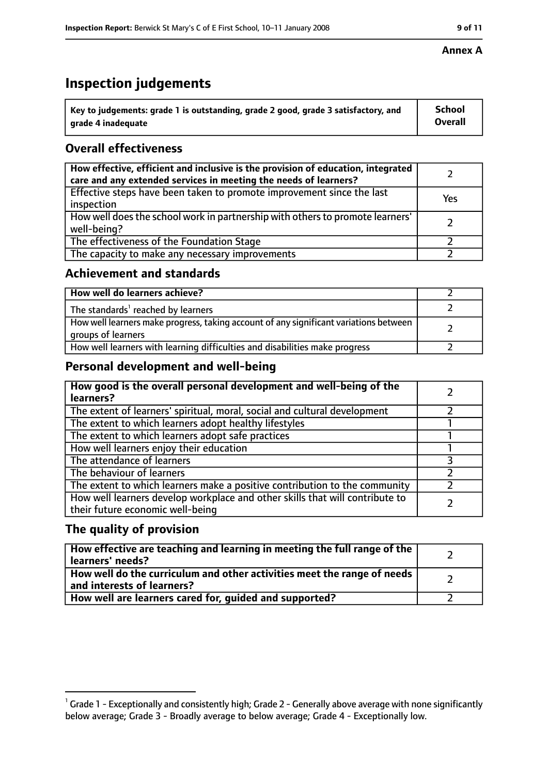# **Inspection judgements**

| $^{\backprime}$ Key to judgements: grade 1 is outstanding, grade 2 good, grade 3 satisfactory, and | <b>School</b>  |
|----------------------------------------------------------------------------------------------------|----------------|
| arade 4 inadeguate                                                                                 | <b>Overall</b> |

# **Overall effectiveness**

| How effective, efficient and inclusive is the provision of education, integrated<br>care and any extended services in meeting the needs of learners? |     |
|------------------------------------------------------------------------------------------------------------------------------------------------------|-----|
| Effective steps have been taken to promote improvement since the last<br>inspection                                                                  | Yes |
| How well does the school work in partnership with others to promote learners'<br>well-being?                                                         |     |
| The effectiveness of the Foundation Stage                                                                                                            |     |
| The capacity to make any necessary improvements                                                                                                      |     |

## **Achievement and standards**

| How well do learners achieve?                                                                               |  |
|-------------------------------------------------------------------------------------------------------------|--|
| The standards <sup>1</sup> reached by learners                                                              |  |
| How well learners make progress, taking account of any significant variations between<br>groups of learners |  |
| How well learners with learning difficulties and disabilities make progress                                 |  |

## **Personal development and well-being**

| How good is the overall personal development and well-being of the<br>learners?                                  |  |
|------------------------------------------------------------------------------------------------------------------|--|
| The extent of learners' spiritual, moral, social and cultural development                                        |  |
| The extent to which learners adopt healthy lifestyles                                                            |  |
| The extent to which learners adopt safe practices                                                                |  |
| How well learners enjoy their education                                                                          |  |
| The attendance of learners                                                                                       |  |
| The behaviour of learners                                                                                        |  |
| The extent to which learners make a positive contribution to the community                                       |  |
| How well learners develop workplace and other skills that will contribute to<br>their future economic well-being |  |

## **The quality of provision**

| How effective are teaching and learning in meeting the full range of the<br>learners' needs?          |  |
|-------------------------------------------------------------------------------------------------------|--|
| How well do the curriculum and other activities meet the range of needs<br>and interests of learners? |  |
| How well are learners cared for, guided and supported?                                                |  |

#### **Annex A**

 $^1$  Grade 1 - Exceptionally and consistently high; Grade 2 - Generally above average with none significantly below average; Grade 3 - Broadly average to below average; Grade 4 - Exceptionally low.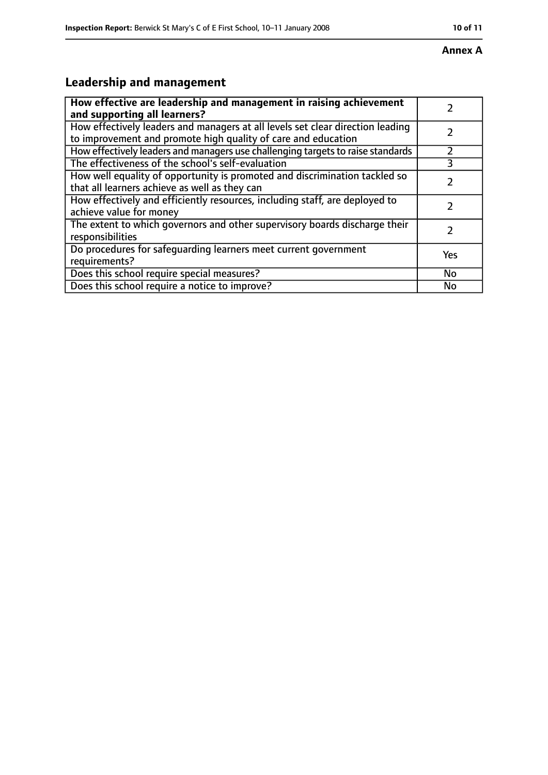#### **Annex A**

# **Leadership and management**

| How effective are leadership and management in raising achievement              |     |
|---------------------------------------------------------------------------------|-----|
| and supporting all learners?                                                    |     |
| How effectively leaders and managers at all levels set clear direction leading  |     |
| to improvement and promote high quality of care and education                   |     |
| How effectively leaders and managers use challenging targets to raise standards |     |
| The effectiveness of the school's self-evaluation                               | 3   |
| How well equality of opportunity is promoted and discrimination tackled so      |     |
| that all learners achieve as well as they can                                   |     |
| How effectively and efficiently resources, including staff, are deployed to     | 7   |
| achieve value for money                                                         |     |
| The extent to which governors and other supervisory boards discharge their      |     |
| responsibilities                                                                |     |
| Do procedures for safequarding learners meet current government                 | Yes |
| requirements?                                                                   |     |
| Does this school require special measures?                                      | No  |
| Does this school require a notice to improve?                                   | No  |